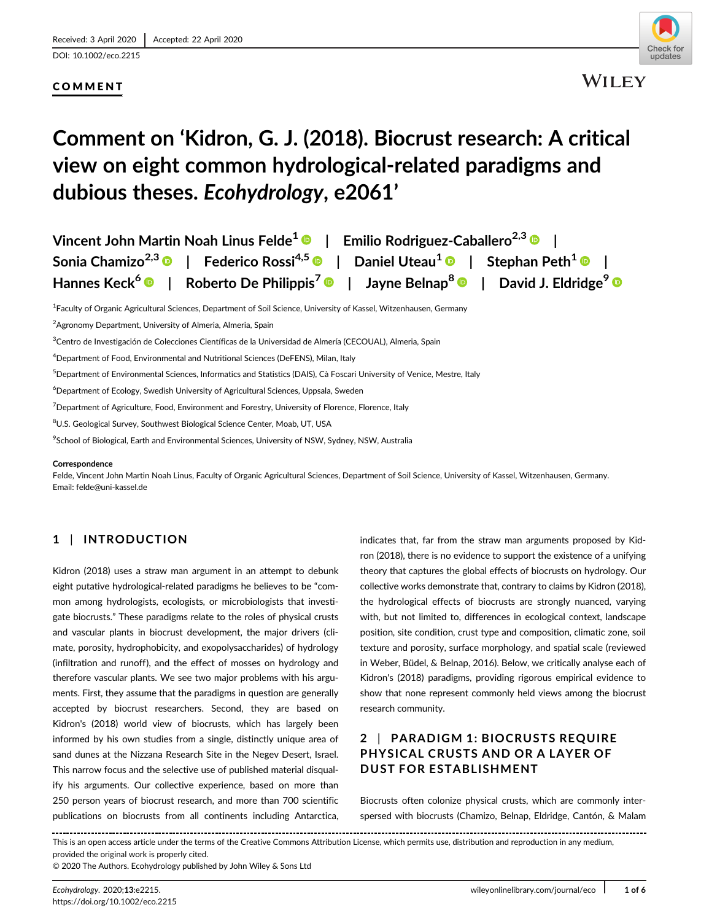[DOI: 10.1002/eco.2215](https://doi.org/10.1002/eco.2215)

## COMMENT



# **Comment on 'Kidron, G. J. (2018). Biocrust research: A critical view on eight common hydrological-related paradigms and dubious theses.** *Ecohydrology***, e2061'**

| Vincent John Martin Noah Linus Felde <sup>1</sup> <sup>®</sup>   Emilio Rodriguez-Caballero <sup>2,3</sup> <sup>®</sup>                 |  |
|-----------------------------------------------------------------------------------------------------------------------------------------|--|
| Sonia Chamizo <sup>2,3</sup> <sup>®</sup>   Federico Rossi <sup>4,5</sup> ®   Daniel Uteau <sup>1</sup> ®   Stephan Peth <sup>1</sup> ® |  |
| Hannes Keck <sup>6</sup> D   Roberto De Philippis <sup>7</sup> D   Jayne Belnap <sup>8</sup> D   David J. Eldridge <sup>9</sup> D       |  |

<sup>1</sup> Faculty of Organic Agricultural Sciences, Department of Soil Science, University of Kassel, Witzenhausen, Germany

2 Agronomy Department, University of Almeria, Almeria, Spain

 $\rm{^{3}C}$ entro de Investigación de Colecciones Científicas de la Universidad de Almería (CECOUAL), Almeria, Spain

4 Department of Food, Environmental and Nutritional Sciences (DeFENS), Milan, Italy

5 Department of Environmental Sciences, Informatics and Statistics (DAIS), Cà Foscari University of Venice, Mestre, Italy

6 Department of Ecology, Swedish University of Agricultural Sciences, Uppsala, Sweden

 $^7$ Department of Agriculture, Food, Environment and Forestry, University of Florence, Florence, Italy

 $^8$ U.S. Geological Survey, Southwest Biological Science Center, Moab, UT, USA

 $^9$ School of Biological, Earth and Environmental Sciences, University of NSW, Sydney, NSW, Australia

#### **Correspondence**

Felde, Vincent John Martin Noah Linus, Faculty of Organic Agricultural Sciences, Department of Soil Science, University of Kassel, Witzenhausen, Germany. Email: [felde@uni-kassel.de](mailto:felde@uni-kassel.de)

## **1** | **INTRODUCTION**

Kidron (2018) uses a straw man argument in an attempt to debunk eight putative hydrological-related paradigms he believes to be "common among hydrologists, ecologists, or microbiologists that investigate biocrusts." These paradigms relate to the roles of physical crusts and vascular plants in biocrust development, the major drivers (climate, porosity, hydrophobicity, and exopolysaccharides) of hydrology (infiltration and runoff), and the effect of mosses on hydrology and therefore vascular plants. We see two major problems with his arguments. First, they assume that the paradigms in question are generally accepted by biocrust researchers. Second, they are based on Kidron's (2018) world view of biocrusts, which has largely been informed by his own studies from a single, distinctly unique area of sand dunes at the Nizzana Research Site in the Negev Desert, Israel. This narrow focus and the selective use of published material disqualify his arguments. Our collective experience, based on more than 250 person years of biocrust research, and more than 700 scientific publications on biocrusts from all continents including Antarctica,

indicates that, far from the straw man arguments proposed by Kidron (2018), there is no evidence to support the existence of a unifying theory that captures the global effects of biocrusts on hydrology. Our collective works demonstrate that, contrary to claims by Kidron (2018), the hydrological effects of biocrusts are strongly nuanced, varying with, but not limited to, differences in ecological context, landscape position, site condition, crust type and composition, climatic zone, soil texture and porosity, surface morphology, and spatial scale (reviewed in Weber, Büdel, & Belnap, 2016). Below, we critically analyse each of Kidron's (2018) paradigms, providing rigorous empirical evidence to show that none represent commonly held views among the biocrust research community.

## **2** | **PARADIGM 1: BIOCRUSTS REQUIRE PHYSICAL CRUSTS AND OR A LAYER OF DUST FOR ESTABLISHMENT**

Biocrusts often colonize physical crusts, which are commonly interspersed with biocrusts (Chamizo, Belnap, Eldridge, Cantón, & Malam

This is an open access article under the terms of the [Creative Commons Attribution](http://creativecommons.org/licenses/by/4.0/) License, which permits use, distribution and reproduction in any medium, provided the original work is properly cited.

© 2020 The Authors. Ecohydrology published by John Wiley & Sons Ltd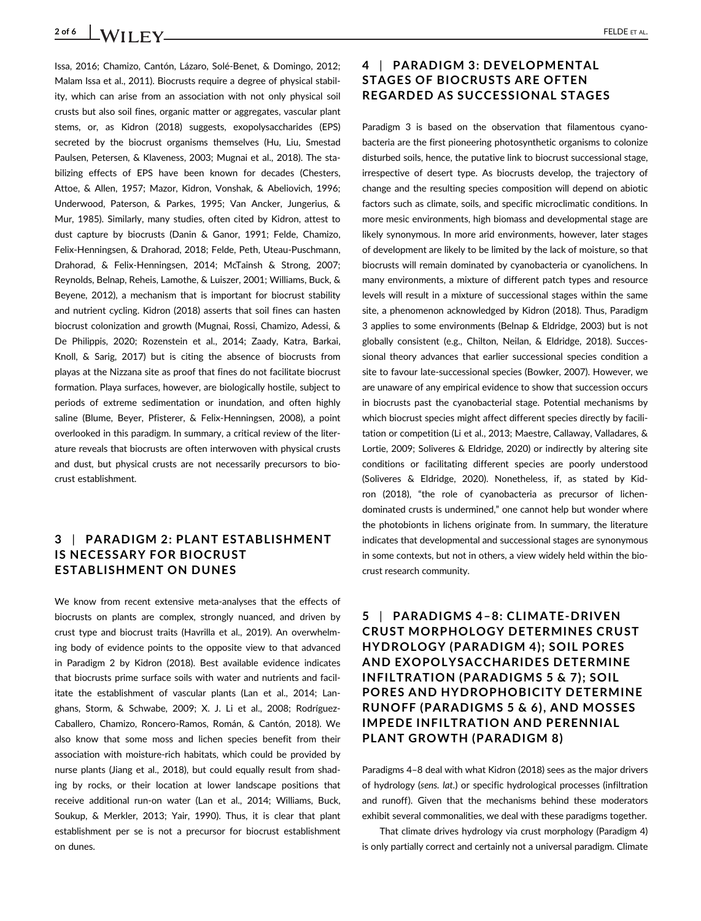## **2 of 6 WILEY CONSUMPLEY ELDE** ET AL.

Issa, 2016; Chamizo, Cantón, Lázaro, Solé-Benet, & Domingo, 2012; Malam Issa et al., 2011). Biocrusts require a degree of physical stability, which can arise from an association with not only physical soil crusts but also soil fines, organic matter or aggregates, vascular plant stems, or, as Kidron (2018) suggests, exopolysaccharides (EPS) secreted by the biocrust organisms themselves (Hu, Liu, Smestad Paulsen, Petersen, & Klaveness, 2003; Mugnai et al., 2018). The stabilizing effects of EPS have been known for decades (Chesters, Attoe, & Allen, 1957; Mazor, Kidron, Vonshak, & Abeliovich, 1996; Underwood, Paterson, & Parkes, 1995; Van Ancker, Jungerius, & Mur, 1985). Similarly, many studies, often cited by Kidron, attest to dust capture by biocrusts (Danin & Ganor, 1991; Felde, Chamizo, Felix-Henningsen, & Drahorad, 2018; Felde, Peth, Uteau-Puschmann, Drahorad, & Felix-Henningsen, 2014; McTainsh & Strong, 2007; Reynolds, Belnap, Reheis, Lamothe, & Luiszer, 2001; Williams, Buck, & Beyene, 2012), a mechanism that is important for biocrust stability and nutrient cycling. Kidron (2018) asserts that soil fines can hasten biocrust colonization and growth (Mugnai, Rossi, Chamizo, Adessi, & De Philippis, 2020; Rozenstein et al., 2014; Zaady, Katra, Barkai, Knoll, & Sarig, 2017) but is citing the absence of biocrusts from playas at the Nizzana site as proof that fines do not facilitate biocrust formation. Playa surfaces, however, are biologically hostile, subject to periods of extreme sedimentation or inundation, and often highly saline (Blume, Beyer, Pfisterer, & Felix-Henningsen, 2008), a point overlooked in this paradigm. In summary, a critical review of the literature reveals that biocrusts are often interwoven with physical crusts and dust, but physical crusts are not necessarily precursors to biocrust establishment.

### **3** | **PARADIGM 2: PLANT ESTABLISHMENT IS NECESSARY FOR BIOCRUST ESTABLISHMENT ON DUNES**

We know from recent extensive meta-analyses that the effects of biocrusts on plants are complex, strongly nuanced, and driven by crust type and biocrust traits (Havrilla et al., 2019). An overwhelming body of evidence points to the opposite view to that advanced in Paradigm 2 by Kidron (2018). Best available evidence indicates that biocrusts prime surface soils with water and nutrients and facilitate the establishment of vascular plants (Lan et al., 2014; Langhans, Storm, & Schwabe, 2009; X. J. Li et al., 2008; Rodríguez-Caballero, Chamizo, Roncero-Ramos, Román, & Cantón, 2018). We also know that some moss and lichen species benefit from their association with moisture-rich habitats, which could be provided by nurse plants (Jiang et al., 2018), but could equally result from shading by rocks, or their location at lower landscape positions that receive additional run-on water (Lan et al., 2014; Williams, Buck, Soukup, & Merkler, 2013; Yair, 1990). Thus, it is clear that plant establishment per se is not a precursor for biocrust establishment on dunes.

### **4** | **PARADIGM 3: DEVELOPMENTAL STAGES OF BIOCRUSTS ARE OFTEN REGARDED AS SUCCESSIONAL STAGES**

Paradigm 3 is based on the observation that filamentous cyanobacteria are the first pioneering photosynthetic organisms to colonize disturbed soils, hence, the putative link to biocrust successional stage, irrespective of desert type. As biocrusts develop, the trajectory of change and the resulting species composition will depend on abiotic factors such as climate, soils, and specific microclimatic conditions. In more mesic environments, high biomass and developmental stage are likely synonymous. In more arid environments, however, later stages of development are likely to be limited by the lack of moisture, so that biocrusts will remain dominated by cyanobacteria or cyanolichens. In many environments, a mixture of different patch types and resource levels will result in a mixture of successional stages within the same site, a phenomenon acknowledged by Kidron (2018). Thus, Paradigm 3 applies to some environments (Belnap & Eldridge, 2003) but is not globally consistent (e.g., Chilton, Neilan, & Eldridge, 2018). Successional theory advances that earlier successional species condition a site to favour late-successional species (Bowker, 2007). However, we are unaware of any empirical evidence to show that succession occurs in biocrusts past the cyanobacterial stage. Potential mechanisms by which biocrust species might affect different species directly by facilitation or competition (Li et al., 2013; Maestre, Callaway, Valladares, & Lortie, 2009; Soliveres & Eldridge, 2020) or indirectly by altering site conditions or facilitating different species are poorly understood (Soliveres & Eldridge, 2020). Nonetheless, if, as stated by Kidron (2018), "the role of cyanobacteria as precursor of lichendominated crusts is undermined," one cannot help but wonder where the photobionts in lichens originate from. In summary, the literature indicates that developmental and successional stages are synonymous in some contexts, but not in others, a view widely held within the biocrust research community.

**5** | **PARADIGMS 4–8: CLIMATE-DRIVEN CRUST MORPHOLOGY DETERMINES CRUST HYDROLOGY (PARADIGM 4); SOIL PORES AND EXOPOLYSACCHARIDES DETERMINE INFILTRATION (PARADIGMS 5 & 7); SOIL PORES AND HYDROPHOBICITY DETERMINE RUNOFF (PARADIGMS 5 & 6), AND MOSSES IMPEDE INFILTRATION AND PERENNIAL PLANT GROWTH (PARADIGM 8)**

Paradigms 4–8 deal with what Kidron (2018) sees as the major drivers of hydrology (*sens. lat.*) or specific hydrological processes (infiltration and runoff). Given that the mechanisms behind these moderators exhibit several commonalities, we deal with these paradigms together.

That climate drives hydrology via crust morphology (Paradigm 4) is only partially correct and certainly not a universal paradigm. Climate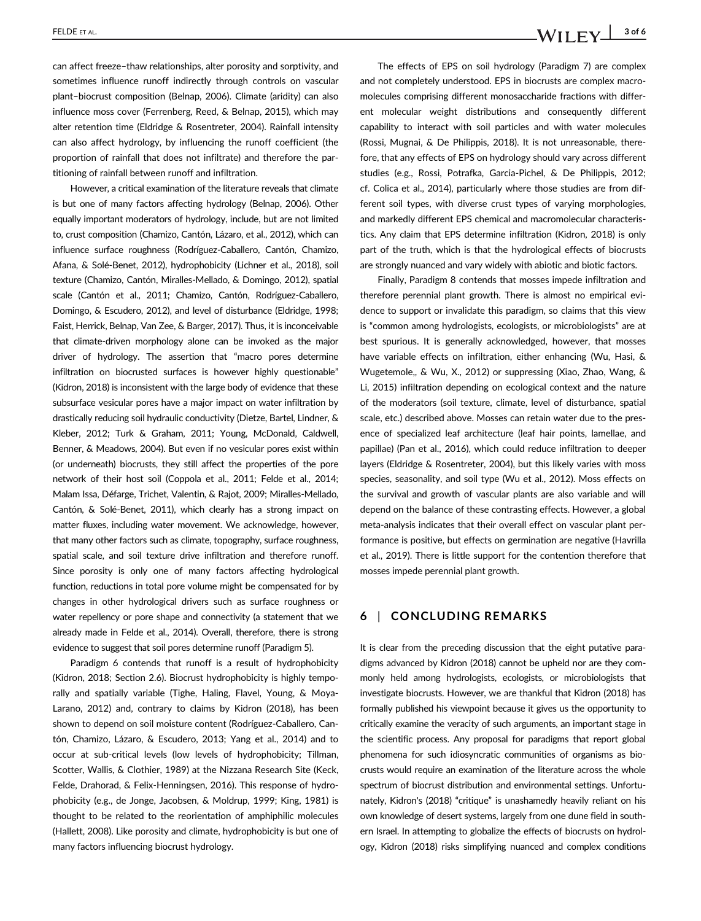FELDE ET AL.  $\blacksquare$  3 of 6

can affect freeze–thaw relationships, alter porosity and sorptivity, and sometimes influence runoff indirectly through controls on vascular plant–biocrust composition (Belnap, 2006). Climate (aridity) can also influence moss cover (Ferrenberg, Reed, & Belnap, 2015), which may alter retention time (Eldridge & Rosentreter, 2004). Rainfall intensity can also affect hydrology, by influencing the runoff coefficient (the proportion of rainfall that does not infiltrate) and therefore the partitioning of rainfall between runoff and infiltration.

However, a critical examination of the literature reveals that climate is but one of many factors affecting hydrology (Belnap, 2006). Other equally important moderators of hydrology, include, but are not limited to, crust composition (Chamizo, Cantón, Lázaro, et al., 2012), which can influence surface roughness (Rodríguez-Caballero, Cantón, Chamizo, Afana, & Solé-Benet, 2012), hydrophobicity (Lichner et al., 2018), soil texture (Chamizo, Cantón, Miralles-Mellado, & Domingo, 2012), spatial scale (Cantón et al., 2011; Chamizo, Cantón, Rodríguez-Caballero, Domingo, & Escudero, 2012), and level of disturbance (Eldridge, 1998; Faist, Herrick, Belnap, Van Zee, & Barger, 2017). Thus, it is inconceivable that climate-driven morphology alone can be invoked as the major driver of hydrology. The assertion that "macro pores determine infiltration on biocrusted surfaces is however highly questionable" (Kidron, 2018) is inconsistent with the large body of evidence that these subsurface vesicular pores have a major impact on water infiltration by drastically reducing soil hydraulic conductivity (Dietze, Bartel, Lindner, & Kleber, 2012; Turk & Graham, 2011; Young, McDonald, Caldwell, Benner, & Meadows, 2004). But even if no vesicular pores exist within (or underneath) biocrusts, they still affect the properties of the pore network of their host soil (Coppola et al., 2011; Felde et al., 2014; Malam Issa, Défarge, Trichet, Valentin, & Rajot, 2009; Miralles-Mellado, Cantón, & Solé-Benet, 2011), which clearly has a strong impact on matter fluxes, including water movement. We acknowledge, however, that many other factors such as climate, topography, surface roughness, spatial scale, and soil texture drive infiltration and therefore runoff. Since porosity is only one of many factors affecting hydrological function, reductions in total pore volume might be compensated for by changes in other hydrological drivers such as surface roughness or water repellency or pore shape and connectivity (a statement that we already made in Felde et al., 2014). Overall, therefore, there is strong evidence to suggest that soil pores determine runoff (Paradigm 5).

Paradigm 6 contends that runoff is a result of hydrophobicity (Kidron, 2018; Section 2.6). Biocrust hydrophobicity is highly temporally and spatially variable (Tighe, Haling, Flavel, Young, & Moya-Larano, 2012) and, contrary to claims by Kidron (2018), has been shown to depend on soil moisture content (Rodríguez-Caballero, Cantón, Chamizo, Lázaro, & Escudero, 2013; Yang et al., 2014) and to occur at sub-critical levels (low levels of hydrophobicity; Tillman, Scotter, Wallis, & Clothier, 1989) at the Nizzana Research Site (Keck, Felde, Drahorad, & Felix-Henningsen, 2016). This response of hydrophobicity (e.g., de Jonge, Jacobsen, & Moldrup, 1999; King, 1981) is thought to be related to the reorientation of amphiphilic molecules (Hallett, 2008). Like porosity and climate, hydrophobicity is but one of many factors influencing biocrust hydrology.

The effects of EPS on soil hydrology (Paradigm 7) are complex and not completely understood. EPS in biocrusts are complex macromolecules comprising different monosaccharide fractions with different molecular weight distributions and consequently different capability to interact with soil particles and with water molecules (Rossi, Mugnai, & De Philippis, 2018). It is not unreasonable, therefore, that any effects of EPS on hydrology should vary across different studies (e.g., Rossi, Potrafka, Garcia-Pichel, & De Philippis, 2012; cf. Colica et al., 2014), particularly where those studies are from different soil types, with diverse crust types of varying morphologies, and markedly different EPS chemical and macromolecular characteristics. Any claim that EPS determine infiltration (Kidron, 2018) is only part of the truth, which is that the hydrological effects of biocrusts are strongly nuanced and vary widely with abiotic and biotic factors.

Finally, Paradigm 8 contends that mosses impede infiltration and therefore perennial plant growth. There is almost no empirical evidence to support or invalidate this paradigm, so claims that this view is "common among hydrologists, ecologists, or microbiologists" are at best spurious. It is generally acknowledged, however, that mosses have variable effects on infiltration, either enhancing (Wu, Hasi, & Wugetemole,, & Wu, X., 2012) or suppressing (Xiao, Zhao, Wang, & Li, 2015) infiltration depending on ecological context and the nature of the moderators (soil texture, climate, level of disturbance, spatial scale, etc.) described above. Mosses can retain water due to the presence of specialized leaf architecture (leaf hair points, lamellae, and papillae) (Pan et al., 2016), which could reduce infiltration to deeper layers (Eldridge & Rosentreter, 2004), but this likely varies with moss species, seasonality, and soil type (Wu et al., 2012). Moss effects on the survival and growth of vascular plants are also variable and will depend on the balance of these contrasting effects. However, a global meta-analysis indicates that their overall effect on vascular plant performance is positive, but effects on germination are negative (Havrilla et al., 2019). There is little support for the contention therefore that mosses impede perennial plant growth.

#### **6** | **CONCLUDING REMARKS**

It is clear from the preceding discussion that the eight putative paradigms advanced by Kidron (2018) cannot be upheld nor are they commonly held among hydrologists, ecologists, or microbiologists that investigate biocrusts. However, we are thankful that Kidron (2018) has formally published his viewpoint because it gives us the opportunity to critically examine the veracity of such arguments, an important stage in the scientific process. Any proposal for paradigms that report global phenomena for such idiosyncratic communities of organisms as biocrusts would require an examination of the literature across the whole spectrum of biocrust distribution and environmental settings. Unfortunately, Kidron's (2018) "critique" is unashamedly heavily reliant on his own knowledge of desert systems, largely from one dune field in southern Israel. In attempting to globalize the effects of biocrusts on hydrology, Kidron (2018) risks simplifying nuanced and complex conditions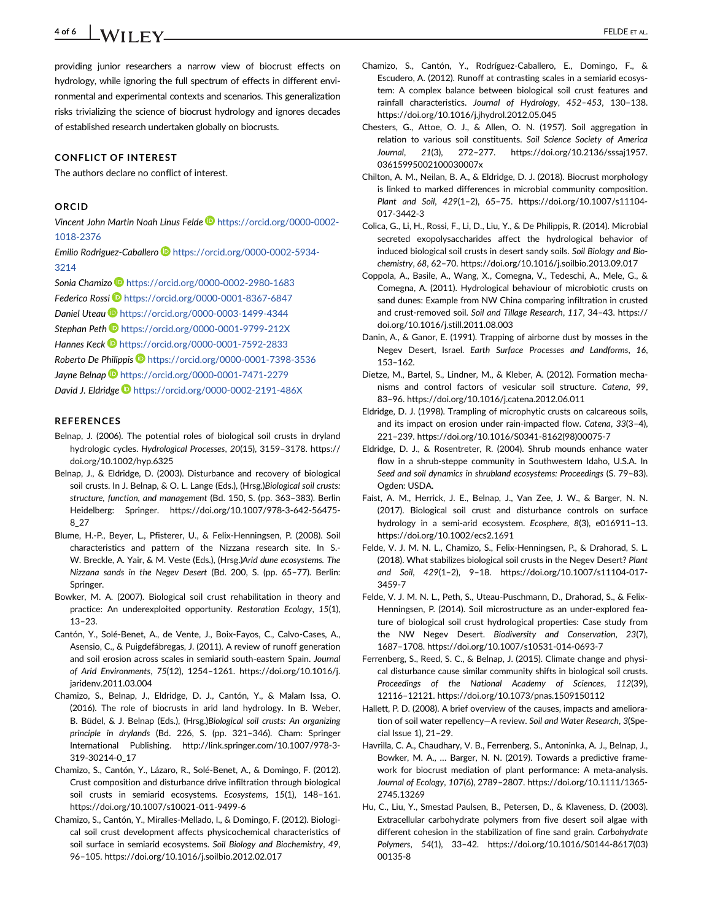**4 of 6 WILEY** ELDE ET AL.

providing junior researchers a narrow view of biocrust effects on hydrology, while ignoring the full spectrum of effects in different environmental and experimental contexts and scenarios. This generalization risks trivializing the science of biocrust hydrology and ignores decades of established research undertaken globally on biocrusts.

#### **CONFLICT OF INTEREST**

The authors declare no conflict of interest.

#### **ORCID**

*Vincent John Martin Noah Linus Felde* [https://orcid.org/0000-0002-](https://orcid.org/0000-0002-1018-2376)

[1018-2376](https://orcid.org/0000-0002-1018-2376)

*Emilio Rodriguez-Caballero* [https://orcid.org/0000-0002-5934-](https://orcid.org/0000-0002-5934-3214) [3214](https://orcid.org/0000-0002-5934-3214)

*Sonia Chamizo* <https://orcid.org/0000-0002-2980-1683>

*Federico Rossi* <https://orcid.org/0000-0001-8367-6847>

*Daniel Uteau* <https://orcid.org/0000-0003-1499-4344>

*Stephan Peth* <https://orcid.org/0000-0001-9799-212X>

Hannes Keck **D** <https://orcid.org/0000-0001-7592-2833>

*Roberto De Philippis* <https://orcid.org/0000-0001-7398-3536>

*Jayne Belnap* <https://orcid.org/0000-0001-7471-2279>

*David J. Eldridge* <https://orcid.org/0000-0002-2191-486X>

#### **REFERENCES**

- Belnap, J. (2006). The potential roles of biological soil crusts in dryland hydrologic cycles. *Hydrological Processes*, *20*(15), 3159–3178. [https://](https://doi.org/10.1002/hyp.6325) [doi.org/10.1002/hyp.6325](https://doi.org/10.1002/hyp.6325)
- Belnap, J., & Eldridge, D. (2003). Disturbance and recovery of biological soil crusts. In J. Belnap, & O. L. Lange (Eds.), (Hrsg.)*Biological soil crusts: structure, function, and management* (Bd. 150, S. (pp. 363–383). Berlin Heidelberg: Springer. [https://doi.org/10.1007/978-3-642-56475-](https://doi.org/10.1007/978-3-642-56475-8_27) [8\\_27](https://doi.org/10.1007/978-3-642-56475-8_27)
- Blume, H.-P., Beyer, L., Pfisterer, U., & Felix-Henningsen, P. (2008). Soil characteristics and pattern of the Nizzana research site. In S.- W. Breckle, A. Yair, & M. Veste (Eds.), (Hrsg.)*Arid dune ecosystems. The Nizzana sands in the Negev Desert* (Bd. 200, S. (pp. 65–77). Berlin: Springer.
- Bowker, M. A. (2007). Biological soil crust rehabilitation in theory and practice: An underexploited opportunity. *Restoration Ecology*, *15*(1), 13–23.
- Cantón, Y., Solé-Benet, A., de Vente, J., Boix-Fayos, C., Calvo-Cases, A., Asensio, C., & Puigdefábregas, J. (2011). A review of runoff generation and soil erosion across scales in semiarid south-eastern Spain. *Journal of Arid Environments*, *75*(12), 1254–1261. [https://doi.org/10.1016/j.](https://doi.org/10.1016/j.jaridenv.2011.03.004) [jaridenv.2011.03.004](https://doi.org/10.1016/j.jaridenv.2011.03.004)
- Chamizo, S., Belnap, J., Eldridge, D. J., Cantón, Y., & Malam Issa, O. (2016). The role of biocrusts in arid land hydrology. In B. Weber, B. Büdel, & J. Belnap (Eds.), (Hrsg.)*Biological soil crusts: An organizing principle in drylands* (Bd. 226, S. (pp. 321–346). Cham: Springer International Publishing. [http://link.springer.com/10.1007/978-3-](http://link.springer.com/10.1007/978-3-319-30214-0_17) [319-30214-0\\_17](http://link.springer.com/10.1007/978-3-319-30214-0_17)
- Chamizo, S., Cantón, Y., Lázaro, R., Solé-Benet, A., & Domingo, F. (2012). Crust composition and disturbance drive infiltration through biological soil crusts in semiarid ecosystems. *Ecosystems*, *15*(1), 148–161. <https://doi.org/10.1007/s10021-011-9499-6>
- Chamizo, S., Cantón, Y., Miralles-Mellado, I., & Domingo, F. (2012). Biological soil crust development affects physicochemical characteristics of soil surface in semiarid ecosystems. *Soil Biology and Biochemistry*, *49*, 96–105.<https://doi.org/10.1016/j.soilbio.2012.02.017>
- Chamizo, S., Cantón, Y., Rodríguez-Caballero, E., Domingo, F., & Escudero, A. (2012). Runoff at contrasting scales in a semiarid ecosystem: A complex balance between biological soil crust features and rainfall characteristics. *Journal of Hydrology*, *452–453*, 130–138. <https://doi.org/10.1016/j.jhydrol.2012.05.045>
- Chesters, G., Attoe, O. J., & Allen, O. N. (1957). Soil aggregation in relation to various soil constituents. *Soil Science Society of America Journal*, *21*(3), 272–277. [https://doi.org/10.2136/sssaj1957.](https://doi.org/10.2136/sssaj1957.03615995002100030007x) [03615995002100030007x](https://doi.org/10.2136/sssaj1957.03615995002100030007x)
- Chilton, A. M., Neilan, B. A., & Eldridge, D. J. (2018). Biocrust morphology is linked to marked differences in microbial community composition. *Plant and Soil*, *429*(1–2), 65–75. [https://doi.org/10.1007/s11104-](https://doi.org/10.1007/s11104-017-3442-3) [017-3442-3](https://doi.org/10.1007/s11104-017-3442-3)
- Colica, G., Li, H., Rossi, F., Li, D., Liu, Y., & De Philippis, R. (2014). Microbial secreted exopolysaccharides affect the hydrological behavior of induced biological soil crusts in desert sandy soils. *Soil Biology and Biochemistry*, *68*, 62–70.<https://doi.org/10.1016/j.soilbio.2013.09.017>
- Coppola, A., Basile, A., Wang, X., Comegna, V., Tedeschi, A., Mele, G., & Comegna, A. (2011). Hydrological behaviour of microbiotic crusts on sand dunes: Example from NW China comparing infiltration in crusted and crust-removed soil. *Soil and Tillage Research*, *117*, 34–43. [https://](https://doi.org/10.1016/j.still.2011.08.003) [doi.org/10.1016/j.still.2011.08.003](https://doi.org/10.1016/j.still.2011.08.003)
- Danin, A., & Ganor, E. (1991). Trapping of airborne dust by mosses in the Negev Desert, Israel. *Earth Surface Processes and Landforms*, *16*, 153–162.
- Dietze, M., Bartel, S., Lindner, M., & Kleber, A. (2012). Formation mechanisms and control factors of vesicular soil structure. *Catena*, *99*, 83–96.<https://doi.org/10.1016/j.catena.2012.06.011>
- Eldridge, D. J. (1998). Trampling of microphytic crusts on calcareous soils, and its impact on erosion under rain-impacted flow. *Catena*, *33*(3–4), 221–239. [https://doi.org/10.1016/S0341-8162\(98\)00075-7](https://doi.org/10.1016/S0341-8162(98)00075-7)
- Eldridge, D. J., & Rosentreter, R. (2004). Shrub mounds enhance water flow in a shrub-steppe community in Southwestern Idaho, U.S.A. In *Seed and soil dynamics in shrubland ecosystems: Proceedings* (S. 79–83). Ogden: USDA.
- Faist, A. M., Herrick, J. E., Belnap, J., Van Zee, J. W., & Barger, N. N. (2017). Biological soil crust and disturbance controls on surface hydrology in a semi-arid ecosystem. *Ecosphere*, *8*(3), e016911–13. <https://doi.org/10.1002/ecs2.1691>
- Felde, V. J. M. N. L., Chamizo, S., Felix-Henningsen, P., & Drahorad, S. L. (2018). What stabilizes biological soil crusts in the Negev Desert? *Plant and Soil*, *429*(1–2), 9–18. [https://doi.org/10.1007/s11104-017-](https://doi.org/10.1007/s11104-017-3459-7) [3459-7](https://doi.org/10.1007/s11104-017-3459-7)
- Felde, V. J. M. N. L., Peth, S., Uteau-Puschmann, D., Drahorad, S., & Felix-Henningsen, P. (2014). Soil microstructure as an under-explored feature of biological soil crust hydrological properties: Case study from the NW Negev Desert. *Biodiversity and Conservation*, *23*(7), 1687–1708.<https://doi.org/10.1007/s10531-014-0693-7>
- Ferrenberg, S., Reed, S. C., & Belnap, J. (2015). Climate change and physical disturbance cause similar community shifts in biological soil crusts. *Proceedings of the National Academy of Sciences*, *112*(39), 12116–12121.<https://doi.org/10.1073/pnas.1509150112>
- Hallett, P. D. (2008). A brief overview of the causes, impacts and amelioration of soil water repellency—A review. *Soil and Water Research*, *3*(Special Issue 1), 21–29.
- Havrilla, C. A., Chaudhary, V. B., Ferrenberg, S., Antoninka, A. J., Belnap, J., Bowker, M. A., … Barger, N. N. (2019). Towards a predictive framework for biocrust mediation of plant performance: A meta-analysis. *Journal of Ecology*, *107*(6), 2789–2807. [https://doi.org/10.1111/1365-](https://doi.org/10.1111/1365-2745.13269) [2745.13269](https://doi.org/10.1111/1365-2745.13269)
- Hu, C., Liu, Y., Smestad Paulsen, B., Petersen, D., & Klaveness, D. (2003). Extracellular carbohydrate polymers from five desert soil algae with different cohesion in the stabilization of fine sand grain. *Carbohydrate Polymers*, *54*(1), 33–42. [https://doi.org/10.1016/S0144-8617\(03\)](https://doi.org/10.1016/S0144-8617(03)00135-8) [00135-8](https://doi.org/10.1016/S0144-8617(03)00135-8)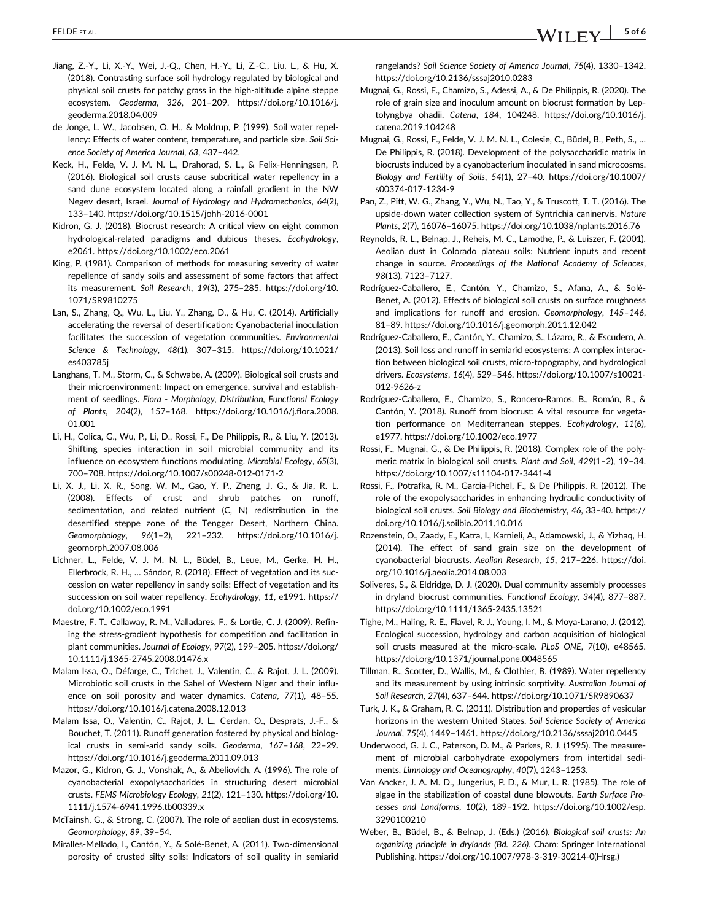- Jiang, Z.-Y., Li, X.-Y., Wei, J.-Q., Chen, H.-Y., Li, Z.-C., Liu, L., & Hu, X. (2018). Contrasting surface soil hydrology regulated by biological and physical soil crusts for patchy grass in the high-altitude alpine steppe ecosystem. *Geoderma*, *326*, 201–209. [https://doi.org/10.1016/j.](https://doi.org/10.1016/j.geoderma.2018.04.009) [geoderma.2018.04.009](https://doi.org/10.1016/j.geoderma.2018.04.009)
- de Jonge, L. W., Jacobsen, O. H., & Moldrup, P. (1999). Soil water repellency: Effects of water content, temperature, and particle size. *Soil Science Society of America Journal*, *63*, 437–442.
- Keck, H., Felde, V. J. M. N. L., Drahorad, S. L., & Felix-Henningsen, P. (2016). Biological soil crusts cause subcritical water repellency in a sand dune ecosystem located along a rainfall gradient in the NW Negev desert, Israel. *Journal of Hydrology and Hydromechanics*, *64*(2), 133–140.<https://doi.org/10.1515/johh-2016-0001>
- Kidron, G. J. (2018). Biocrust research: A critical view on eight common hydrological-related paradigms and dubious theses. *Ecohydrology*, e2061.<https://doi.org/10.1002/eco.2061>
- King, P. (1981). Comparison of methods for measuring severity of water repellence of sandy soils and assessment of some factors that affect its measurement. *Soil Research*, *19*(3), 275–285. [https://doi.org/10.](https://doi.org/10.1071/SR9810275) [1071/SR9810275](https://doi.org/10.1071/SR9810275)
- Lan, S., Zhang, Q., Wu, L., Liu, Y., Zhang, D., & Hu, C. (2014). Artificially accelerating the reversal of desertification: Cyanobacterial inoculation facilitates the succession of vegetation communities. *Environmental Science & Technology*, *48*(1), 307–315. [https://doi.org/10.1021/](https://doi.org/10.1021/es403785j) [es403785j](https://doi.org/10.1021/es403785j)
- Langhans, T. M., Storm, C., & Schwabe, A. (2009). Biological soil crusts and their microenvironment: Impact on emergence, survival and establishment of seedlings. *Flora - Morphology, Distribution, Functional Ecology of Plants*, *204*(2), 157–168. [https://doi.org/10.1016/j.flora.2008.](https://doi.org/10.1016/j.flora.2008.01.001) [01.001](https://doi.org/10.1016/j.flora.2008.01.001)
- Li, H., Colica, G., Wu, P., Li, D., Rossi, F., De Philippis, R., & Liu, Y. (2013). Shifting species interaction in soil microbial community and its influence on ecosystem functions modulating. *Microbial Ecology*, *65*(3), 700–708.<https://doi.org/10.1007/s00248-012-0171-2>
- Li, X. J., Li, X. R., Song, W. M., Gao, Y. P., Zheng, J. G., & Jia, R. L. (2008). Effects of crust and shrub patches on runoff, sedimentation, and related nutrient (C, N) redistribution in the desertified steppe zone of the Tengger Desert, Northern China. *Geomorphology*, *96*(1–2), 221–232. [https://doi.org/10.1016/j.](https://doi.org/10.1016/j.geomorph.2007.08.006) [geomorph.2007.08.006](https://doi.org/10.1016/j.geomorph.2007.08.006)
- Lichner, L., Felde, V. J. M. N. L., Büdel, B., Leue, M., Gerke, H. H., Ellerbrock, R. H., … Sándor, R. (2018). Effect of vegetation and its succession on water repellency in sandy soils: Effect of vegetation and its succession on soil water repellency. *Ecohydrology*, *11*, e1991. [https://](https://doi.org/10.1002/eco.1991) [doi.org/10.1002/eco.1991](https://doi.org/10.1002/eco.1991)
- Maestre, F. T., Callaway, R. M., Valladares, F., & Lortie, C. J. (2009). Refining the stress-gradient hypothesis for competition and facilitation in plant communities. *Journal of Ecology*, *97*(2), 199–205. [https://doi.org/](https://doi.org/10.1111/j.1365-2745.2008.01476.x) [10.1111/j.1365-2745.2008.01476.x](https://doi.org/10.1111/j.1365-2745.2008.01476.x)
- Malam Issa, O., Défarge, C., Trichet, J., Valentin, C., & Rajot, J. L. (2009). Microbiotic soil crusts in the Sahel of Western Niger and their influence on soil porosity and water dynamics. *Catena*, *77*(1), 48–55. <https://doi.org/10.1016/j.catena.2008.12.013>
- Malam Issa, O., Valentin, C., Rajot, J. L., Cerdan, O., Desprats, J.-F., & Bouchet, T. (2011). Runoff generation fostered by physical and biological crusts in semi-arid sandy soils. *Geoderma*, *167–168*, 22–29. <https://doi.org/10.1016/j.geoderma.2011.09.013>
- Mazor, G., Kidron, G. J., Vonshak, A., & Abeliovich, A. (1996). The role of cyanobacterial exopolysaccharides in structuring desert microbial crusts. *FEMS Microbiology Ecology*, *21*(2), 121–130. [https://doi.org/10.](https://doi.org/10.1111/j.1574-6941.1996.tb00339.x) [1111/j.1574-6941.1996.tb00339.x](https://doi.org/10.1111/j.1574-6941.1996.tb00339.x)
- McTainsh, G., & Strong, C. (2007). The role of aeolian dust in ecosystems. *Geomorphology*, *89*, 39–54.
- Miralles-Mellado, I., Cantón, Y., & Solé-Benet, A. (2011). Two-dimensional porosity of crusted silty soils: Indicators of soil quality in semiarid

rangelands? *Soil Science Society of America Journal*, *75*(4), 1330–1342. <https://doi.org/10.2136/sssaj2010.0283>

- Mugnai, G., Rossi, F., Chamizo, S., Adessi, A., & De Philippis, R. (2020). The role of grain size and inoculum amount on biocrust formation by Leptolyngbya ohadii. *Catena*, *184*, 104248. [https://doi.org/10.1016/j.](https://doi.org/10.1016/j.catena.2019.104248) [catena.2019.104248](https://doi.org/10.1016/j.catena.2019.104248)
- Mugnai, G., Rossi, F., Felde, V. J. M. N. L., Colesie, C., Büdel, B., Peth, S., … De Philippis, R. (2018). Development of the polysaccharidic matrix in biocrusts induced by a cyanobacterium inoculated in sand microcosms. *Biology and Fertility of Soils*, *54*(1), 27–40. [https://doi.org/10.1007/](https://doi.org/10.1007/s00374-017-1234-9) [s00374-017-1234-9](https://doi.org/10.1007/s00374-017-1234-9)
- Pan, Z., Pitt, W. G., Zhang, Y., Wu, N., Tao, Y., & Truscott, T. T. (2016). The upside-down water collection system of Syntrichia caninervis. *Nature Plants*, *2*(7), 16076–16075.<https://doi.org/10.1038/nplants.2016.76>
- Reynolds, R. L., Belnap, J., Reheis, M. C., Lamothe, P., & Luiszer, F. (2001). Aeolian dust in Colorado plateau soils: Nutrient inputs and recent change in source. *Proceedings of the National Academy of Sciences*, *98*(13), 7123–7127.
- Rodríguez-Caballero, E., Cantón, Y., Chamizo, S., Afana, A., & Solé-Benet, A. (2012). Effects of biological soil crusts on surface roughness and implications for runoff and erosion. *Geomorphology*, *145–146*, 81–89.<https://doi.org/10.1016/j.geomorph.2011.12.042>
- Rodríguez-Caballero, E., Cantón, Y., Chamizo, S., Lázaro, R., & Escudero, A. (2013). Soil loss and runoff in semiarid ecosystems: A complex interaction between biological soil crusts, micro-topography, and hydrological drivers. *Ecosystems*, *16*(4), 529–546. [https://doi.org/10.1007/s10021-](https://doi.org/10.1007/s10021-012-9626-z) [012-9626-z](https://doi.org/10.1007/s10021-012-9626-z)
- Rodríguez-Caballero, E., Chamizo, S., Roncero-Ramos, B., Román, R., & Cantón, Y. (2018). Runoff from biocrust: A vital resource for vegetation performance on Mediterranean steppes. *Ecohydrology*, *11*(6), e1977.<https://doi.org/10.1002/eco.1977>
- Rossi, F., Mugnai, G., & De Philippis, R. (2018). Complex role of the polymeric matrix in biological soil crusts. *Plant and Soil*, *429*(1–2), 19–34. <https://doi.org/10.1007/s11104-017-3441-4>
- Rossi, F., Potrafka, R. M., Garcia-Pichel, F., & De Philippis, R. (2012). The role of the exopolysaccharides in enhancing hydraulic conductivity of biological soil crusts. *Soil Biology and Biochemistry*, *46*, 33–40. [https://](https://doi.org/10.1016/j.soilbio.2011.10.016) [doi.org/10.1016/j.soilbio.2011.10.016](https://doi.org/10.1016/j.soilbio.2011.10.016)
- Rozenstein, O., Zaady, E., Katra, I., Karnieli, A., Adamowski, J., & Yizhaq, H. (2014). The effect of sand grain size on the development of cyanobacterial biocrusts. *Aeolian Research*, *15*, 217–226. [https://doi.](https://doi.org/10.1016/j.aeolia.2014.08.003) [org/10.1016/j.aeolia.2014.08.003](https://doi.org/10.1016/j.aeolia.2014.08.003)
- Soliveres, S., & Eldridge, D. J. (2020). Dual community assembly processes in dryland biocrust communities. *Functional Ecology*, *34*(4), 877–887. <https://doi.org/10.1111/1365-2435.13521>
- Tighe, M., Haling, R. E., Flavel, R. J., Young, I. M., & Moya-Larano, J. (2012). Ecological succession, hydrology and carbon acquisition of biological soil crusts measured at the micro-scale. *PLoS ONE*, *7*(10), e48565. <https://doi.org/10.1371/journal.pone.0048565>
- Tillman, R., Scotter, D., Wallis, M., & Clothier, B. (1989). Water repellency and its measurement by using intrinsic sorptivity. *Australian Journal of Soil Research*, *27*(4), 637–644.<https://doi.org/10.1071/SR9890637>
- Turk, J. K., & Graham, R. C. (2011). Distribution and properties of vesicular horizons in the western United States. *Soil Science Society of America Journal*, *75*(4), 1449–1461.<https://doi.org/10.2136/sssaj2010.0445>
- Underwood, G. J. C., Paterson, D. M., & Parkes, R. J. (1995). The measurement of microbial carbohydrate exopolymers from intertidal sediments. *Limnology and Oceanography*, *40*(7), 1243–1253.
- Van Ancker, J. A. M. D., Jungerius, P. D., & Mur, L. R. (1985). The role of algae in the stabilization of coastal dune blowouts. *Earth Surface Processes and Landforms*, *10*(2), 189–192. [https://doi.org/10.1002/esp.](https://doi.org/10.1002/esp.3290100210) [3290100210](https://doi.org/10.1002/esp.3290100210)
- Weber, B., Büdel, B., & Belnap, J. (Eds.) (2016). *Biological soil crusts: An organizing principle in drylands (Bd. 226)*. Cham: Springer International Publishing.<https://doi.org/10.1007/978-3-319-30214-0>(Hrsg.)